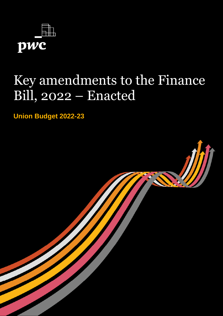

# Key amendments to the Finance Bill, 2022 – Enacted

**Union Budget 2022-23**

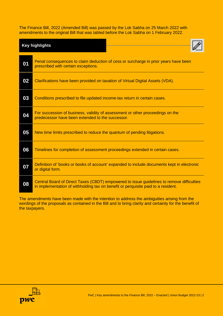The Finance Bill, 2022 (Amended Bill) was passed by the Lok Sabha on 25 March 2022 with amendments to the original Bill that was tabled before the Lok Sabha on 1 February 2022.

| <b>Key highlights</b> |                                                                                                                                                                                |
|-----------------------|--------------------------------------------------------------------------------------------------------------------------------------------------------------------------------|
| 01                    | Penal consequences to claim deduction of cess or surcharge in prior years have been<br>prescribed with certain exceptions.                                                     |
| 02                    | Clarifications have been provided on taxation of Virtual Digital Assets (VDA).                                                                                                 |
| 03                    | Conditions prescribed to file updated income-tax return in certain cases.                                                                                                      |
| 04                    | For succession of business, validity of assessment or other proceedings on the<br>predecessor have been extended to the successor.                                             |
| 05                    | New time limits prescribed to reduce the quantum of pending litigations.                                                                                                       |
| 06                    | Timelines for completion of assessment proceedings extended in certain cases.                                                                                                  |
| 07                    | Definition of 'books or books of account' expanded to include documents kept in electronic<br>or digital form.                                                                 |
| 08                    | Central Board of Direct Taxes (CBDT) empowered to issue guidelines to remove difficulties<br>in implementation of withholding tax on benefit or perquisite paid to a resident. |

The amendments have been made with the intention to address the ambiguities arising from the wordings of the proposals as contained in the Bill and to bring clarity and certainty for the benefit of the taxpayers.

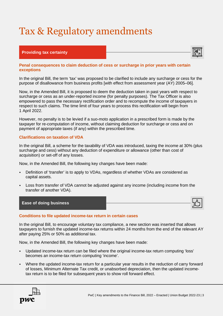## Tax & Regulatory amendments

### **Providing tax certainty**



#### **Penal consequences to claim deduction of cess or surcharge in prior years with certain exceptions**

In the original Bill, the term 'tax' was proposed to be clarified to include any surcharge or cess for the purpose of disallowance from business profits [with effect from assessment year (AY) 2005–06].

Now, in the Amended Bill, it is proposed to deem the deduction taken in past years with respect to surcharge or cess as an under-reported income (for penalty purposes). The Tax Officer is also empowered to pass the necessary rectification order and to recompute the income of taxpayers in respect to such claims. The time limit of four years to process this rectification will begin from 1 April 2022.

However, no penalty is to be levied if a suo-moto application in a prescribed form is made by the taxpayer for re-computation of income, without claiming deduction for surcharge or cess and on payment of appropriate taxes (if any) within the prescribed time.

#### **Clarifications on taxation of VDA**

In the original Bill, a scheme for the taxability of VDA was introduced, taxing the income at 30% (plus surcharge and cess) without any deduction of expenditure or allowance (other than cost of acquisition) or set-off of any losses.

Now, in the Amended Bill, the following key changes have been made:

- Definition of 'transfer' is to apply to VDAs, regardless of whether VDAs are considered as capital assets.
- Loss from transfer of VDA cannot be adjusted against any income (including income from the transfer of another VDA).



#### **Conditions to file updated income-tax return in certain cases**

In the original Bill, to encourage voluntary tax compliance, a new section was inserted that allows taxpayers to furnish the updated income-tax returns within 24 months from the end of the relevant AY after paying 25% or 50% as additional tax.

Now, in the Amended Bill, the following key changes have been made:

- Updated income-tax return can be filed where the original income-tax return computing 'loss' becomes an income-tax return computing 'income'.
- Where the updated income-tax return for a particular year results in the reduction of carry forward of losses, Minimum Alternate Tax credit, or unabsorbed depreciation, then the updated incometax return is to be filed for subsequent years to show roll forward effect.

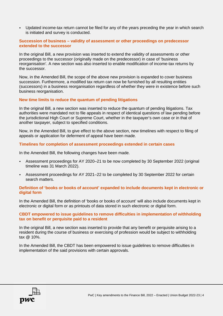• Updated income-tax return cannot be filed for any of the years preceding the year in which search is initiated and survey is conducted.

#### **Succession of business – validity of assessment or other proceedings on predecessor extended to the successor**

In the original Bill, a new provision was inserted to extend the validity of assessments or other proceedings to the successor (originally made on the predecessor) in case of 'business reorganisation'. A new section was also inserted to enable modification of income-tax returns by the successor.

Now, in the Amended Bill, the scope of the above new provision is expanded to cover business succession. Furthermore, a modified tax return can now be furnished by all resulting entities (successors) in a business reorganisation regardless of whether they were in existence before such business reorganisation.

#### **New time limits to reduce the quantum of pending litigations**

In the original Bill, a new section was inserted to reduce the quantum of pending litigations. Tax authorities were mandated not to file appeals in respect of identical questions of law pending before the jurisdictional High Court or Supreme Court, whether in the taxpayer's own case or in that of another taxpayer, subject to specified conditions.

Now, in the Amended Bill, to give effect to the above section, new timelines with respect to filing of appeals or application for deferment of appeal have been made.

#### **Timelines for completion of assessment proceedings extended in certain cases**

In the Amended Bill, the following changes have been made.

- Assessment proceedings for AY 2020–21 to be now completed by 30 September 2022 (original timeline was 31 March 2022).
- Assessment proceedings for AY 2021–22 to be completed by 30 September 2022 for certain search matters.

#### **Definition of 'books or books of account' expanded to include documents kept in electronic or digital form**

In the Amended Bill, the definition of 'books or books of account' will also include documents kept in electronic or digital form or as printouts of data stored in such electronic or digital form.

#### **CBDT empowered to issue guidelines to remove difficulties in implementation of withholding tax on benefit or perquisite paid to a resident**

In the original Bill, a new section was inserted to provide that any benefit or perquisite arising to a resident during the course of business or exercising of profession would be subject to withholding tax @ 10%.

In the Amended Bill, the CBDT has been empowered to issue guidelines to remove difficulties in implementation of the said provisions with certain approvals.